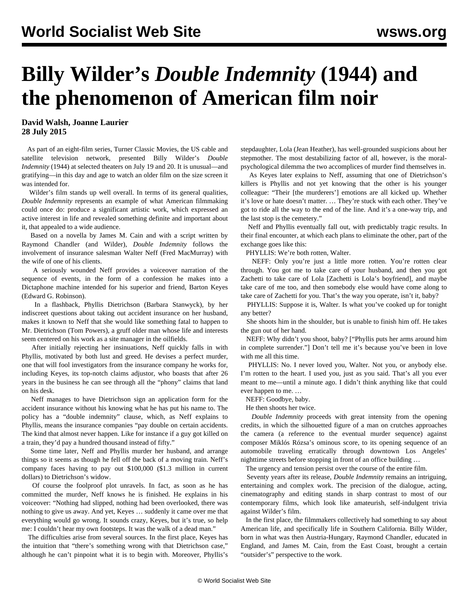## **Billy Wilder's** *Double Indemnity* **(1944) and the phenomenon of American film noir**

**David Walsh, Joanne Laurier 28 July 2015**

 As part of an eight-film series, Turner Classic Movies, the US cable and satellite television network, presented Billy Wilder's *Double Indemnity* (1944) at selected theaters on July 19 and 20. It is unusual—and gratifying—in this day and age to watch an older film on the size screen it was intended for.

 Wilder's film stands up well overall. In terms of its general qualities, *Double Indemnity* represents an example of what American filmmaking could once do: produce a significant artistic work, which expressed an active interest in life and revealed something definite and important about it, that appealed to a wide audience.

 Based on a novella by James M. Cain and with a script written by Raymond Chandler (and Wilder), *Double Indemnity* follows the involvement of insurance salesman Walter Neff (Fred MacMurray) with the wife of one of his clients.

 A seriously wounded Neff provides a voiceover narration of the sequence of events, in the form of a confession he makes into a Dictaphone machine intended for his superior and friend, Barton Keyes (Edward G. Robinson).

 In a flashback, Phyllis Dietrichson (Barbara Stanwyck), by her indiscreet questions about taking out accident insurance on her husband, makes it known to Neff that she would like something fatal to happen to Mr. Dietrichson (Tom Powers), a gruff older man whose life and interests seem centered on his work as a site manager in the oilfields.

 After initially rejecting her insinuations, Neff quickly falls in with Phyllis, motivated by both lust and greed. He devises a perfect murder, one that will fool investigators from the insurance company he works for, including Keyes, its top-notch claims adjustor, who boasts that after 26 years in the business he can see through all the "phony" claims that land on his desk.

 Neff manages to have Dietrichson sign an application form for the accident insurance without his knowing what he has put his name to. The policy has a "double indemnity" clause, which, as Neff explains to Phyllis, means the insurance companies "pay double on certain accidents. The kind that almost never happen. Like for instance if a guy got killed on a train, they'd pay a hundred thousand instead of fifty."

 Some time later, Neff and Phyllis murder her husband, and arrange things so it seems as though he fell off the back of a moving train. Neff's company faces having to pay out \$100,000 (\$1.3 million in current dollars) to Dietrichson's widow.

 Of course the foolproof plot unravels. In fact, as soon as he has committed the murder, Neff knows he is finished. He explains in his voiceover: "Nothing had slipped, nothing had been overlooked, there was nothing to give us away. And yet, Keyes … suddenly it came over me that everything would go wrong. It sounds crazy, Keyes, but it's true, so help me: I couldn't hear my own footsteps. It was the walk of a dead man."

 The difficulties arise from several sources. In the first place, Keyes has the intuition that "there's something wrong with that Dietrichson case," although he can't pinpoint what it is to begin with. Moreover, Phyllis's stepdaughter, Lola (Jean Heather), has well-grounded suspicions about her stepmother. The most destabilizing factor of all, however, is the moralpsychological dilemma the two accomplices of murder find themselves in.

 As Keyes later explains to Neff, assuming that one of Dietrichson's killers is Phyllis and not yet knowing that the other is his younger colleague: "Their [the murderers'] emotions are all kicked up. Whether it's love or hate doesn't matter. … They're stuck with each other. They've got to ride all the way to the end of the line. And it's a one-way trip, and the last stop is the cemetery."

 Neff and Phyllis eventually fall out, with predictably tragic results. In their final encounter, at which each plans to eliminate the other, part of the exchange goes like this:

PHYLLIS: We're both rotten, Walter.

 NEFF: Only you're just a little more rotten. You're rotten clear through. You got me to take care of your husband, and then you got Zachetti to take care of Lola [Zachetti is Lola's boyfriend], and maybe take care of me too, and then somebody else would have come along to take care of Zachetti for you. That's the way you operate, isn't it, baby?

 PHYLLIS: Suppose it is, Walter. Is what you've cooked up for tonight any better?

 She shoots him in the shoulder, but is unable to finish him off. He takes the gun out of her hand.

 NEFF: Why didn't you shoot, baby? ["Phyllis puts her arms around him in complete surrender."] Don't tell me it's because you've been in love with me all this time.

 PHYLLIS: No. I never loved you, Walter. Not you, or anybody else. I'm rotten to the heart. I used you, just as you said. That's all you ever meant to me—until a minute ago. I didn't think anything like that could ever happen to me. …

NEFF: Goodbye, baby.

He then shoots her twice.

 *Double Indemnity* proceeds with great intensity from the opening credits, in which the silhouetted figure of a man on crutches approaches the camera (a reference to the eventual murder sequence) against composer Miklós Rózsa's ominous score, to its opening sequence of an automobile traveling erratically through downtown Los Angeles' nighttime streets before stopping in front of an office building …

The urgency and tension persist over the course of the entire film.

 Seventy years after its release, *Double Indemnity* remains an intriguing, entertaining and complex work. The precision of the dialogue, acting, cinematography and editing stands in sharp contrast to most of our contemporary films, which look like amateurish, self-indulgent trivia against Wilder's film.

 In the first place, the filmmakers collectively had something to say about American life, and specifically life in Southern California. Billy Wilder, born in what was then Austria-Hungary, Raymond Chandler, educated in England, and James M. Cain, from the East Coast, brought a certain "outsider's" perspective to the work.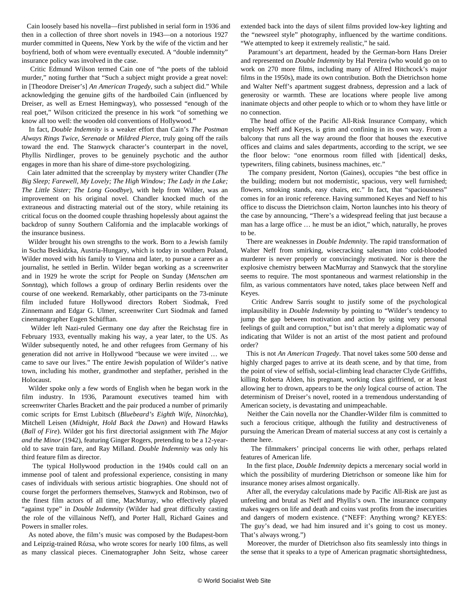Cain loosely based his novella—first published in serial form in 1936 and then in a collection of three short novels in 1943—on a notorious 1927 murder committed in Queens, New York by the wife of the victim and her boyfriend, both of whom were eventually executed. A "double indemnity" insurance policy was involved in the case.

 Critic Edmund Wilson termed Cain one of "the poets of the tabloid murder," noting further that "Such a subject might provide a great novel: in [Theodore Dreiser's] *An American Tragedy*, such a subject did." While acknowledging the genuine gifts of the hardboiled Cain (influenced by Dreiser, as well as Ernest Hemingway), who possessed "enough of the real poet," Wilson criticized the presence in his work "of something we know all too well: the wooden old conventions of Hollywood."

 In fact, *Double Indemnity* is a weaker effort than Cain's *The Postman Always Rings Twice*, *Serenade* or *Mildred Pierce*, truly going off the rails toward the end. The Stanwyck character's counterpart in the novel, Phyllis Nirdlinger, proves to be genuinely psychotic and the author engages in more than his share of dime-store psychologizing.

 Cain later admitted that the screenplay by mystery writer Chandler (*The Big Sleep; Farewell, My Lovely; The High Window; The Lady in the Lake; The Little Sister; The Long Goodbye*), with help from Wilder, was an improvement on his original novel. Chandler knocked much of the extraneous and distracting material out of the story, while retaining its critical focus on the doomed couple thrashing hopelessly about against the backdrop of sunny Southern California and the implacable workings of the insurance business.

 Wilder brought his own strengths to the work. Born to a Jewish family in Sucha Beskidzka, Austria-Hungary, which is today in southern Poland, Wilder moved with his family to Vienna and later, to pursue a career as a journalist, he settled in Berlin. Wilder began working as a screenwriter and in 1929 he wrote the script for [People on Sunday](https://www.youtube.com/watch?v=7ooNxs68vk4) (*Menschen am Sonntag*), which follows a group of ordinary Berlin residents over the course of one weekend. Remarkably, other participants on the 73-minute film included future Hollywood directors Robert Siodmak, Fred Zinnemann and Edgar G. Ulmer, screenwriter Curt Siodmak and famed cinematographer Eugen Schüfftan.

 Wilder left Nazi-ruled Germany one day after the Reichstag fire in February 1933, eventually making his way, a year later, to the US. As Wilder subsequently noted, he and other refugees from Germany of his generation did not arrive in Hollywood "because we were invited … we came to save our lives." The entire Jewish population of Wilder's native town, including his mother, grandmother and stepfather, perished in the Holocaust.

 Wilder spoke only a few words of English when he began work in the film industry. In 1936, Paramount executives teamed him with screenwriter Charles Brackett and the pair produced a number of primarily comic scripts for Ernst Lubitsch (*Bluebeard's Eighth Wife, Ninotchka*), Mitchell Leisen (*Midnight, Hold Back the Dawn*) and Howard Hawks (*Ball of Fire*). Wilder got his first directorial assignment with *The Major and the Minor* (1942), featuring Ginger Rogers, pretending to be a 12-yearold to save train fare, and Ray Milland. *Double Indemnity* was only his third feature film as director.

 The typical Hollywood production in the 1940s could call on an immense pool of talent and professional experience, consisting in many cases of individuals with serious artistic biographies. One should not of course forget the performers themselves, Stanwyck and Robinson, two of the finest film actors of all time, MacMurray, who effectively played "against type" in *Double Indemnity* (Wilder had great difficulty casting the role of the villainous Neff), and Porter Hall, Richard Gaines and Powers in smaller roles.

 As noted above, the film's music was composed by the Budapest-born and Leipzig-trained Rózsa, who wrote scores for nearly 100 films, as well as many classical pieces. Cinematographer John Seitz, whose career extended back into the days of silent films provided low-key lighting and the "newsreel style" photography, influenced by the wartime conditions. "We attempted to keep it extremely realistic," he said.

 Paramount's art department, headed by the German-born Hans Dreier and represented on *Double Indemnity* by Hal Pereira (who would go on to work on 270 more films, including many of Alfred Hitchcock's major films in the 1950s), made its own contribution. Both the Dietrichson home and Walter Neff's apartment suggest drabness, depression and a lack of generosity or warmth. These are locations where people live among inanimate objects and other people to which or to whom they have little or no connection.

 The head office of the Pacific All-Risk Insurance Company, which employs Neff and Keyes, is grim and confining in its own way. From a balcony that runs all the way around the floor that houses the executive offices and claims and sales departments, according to the script, we see the floor below: "one enormous room filled with [identical] desks, typewriters, filing cabinets, business machines, etc."

 The company president, Norton (Gaines), occupies "the best office in the building; modern but not modernistic, spacious, very well furnished; flowers, smoking stands, easy chairs, etc." In fact, that "spaciousness" comes in for an ironic reference. Having summoned Keyes and Neff to his office to discuss the Dietrichson claim, Norton launches into his theory of the case by announcing, "There's a widespread feeling that just because a man has a large office … he must be an idiot," which, naturally, he proves to be.

 There are weaknesses in *Double Indemnity*. The rapid transformation of Walter Neff from smirking, wisecracking salesman into cold-blooded murderer is never properly or convincingly motivated. Nor is there the explosive chemistry between MacMurray and Stanwyck that the storyline seems to require. The most spontaneous and warmest relationship in the film, as various commentators have noted, takes place between Neff and Keyes.

 Critic Andrew Sarris sought to justify some of the psychological implausibility in *Double Indemnity* by pointing to "Wilder's tendency to jump the gap between motivation and action by using very personal feelings of guilt and corruption," but isn't that merely a diplomatic way of indicating that Wilder is not an artist of the most patient and profound order?

 This is not *An American Tragedy*. That novel takes some 500 dense and highly charged pages to arrive at its death scene, and by that time, from the point of view of selfish, social-climbing lead character Clyde Griffiths, killing Roberta Alden, his pregnant, working class girlfriend, or at least allowing her to drown, appears to be the *only* logical course of action. The determinism of Dreiser's novel, rooted in a tremendous understanding of American society, is devastating and unimpeachable.

 Neither the Cain novella nor the Chandler-Wilder film is committed to such a ferocious critique, although the futility and destructiveness of pursuing the American Dream of material success at any cost is certainly a theme here.

 The filmmakers' principal concerns lie with other, perhaps related features of American life.

 In the first place, *Double Indemnity* depicts a mercenary social world in which the possibility of murdering Dietrichson or someone like him for insurance money arises almost organically.

 After all, the everyday calculations made by Pacific All-Risk are just as unfeeling and brutal as Neff and Phyllis's own. The insurance company makes wagers on life and death and coins vast profits from the insecurities and dangers of modern existence. ("NEFF: Anything wrong? KEYES: The guy's dead, we had him insured and it's going to cost us money. That's always wrong.")

 Moreover, the murder of Dietrichson also fits seamlessly into things in the sense that it speaks to a type of American pragmatic shortsightedness,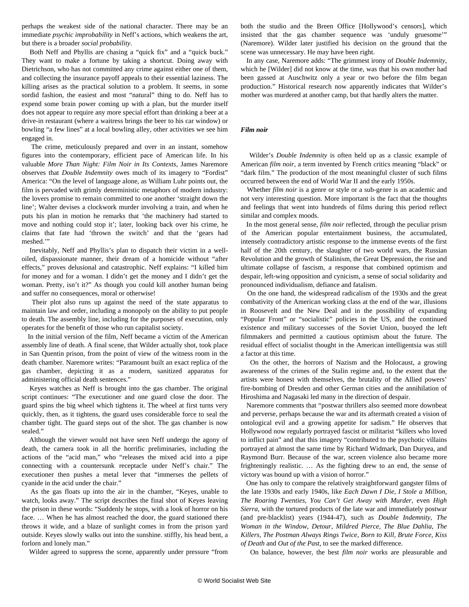perhaps the weakest side of the national character. There may be an immediate *psychic improbability* in Neff's actions, which weakens the art, but there is a broader *social probability*.

 Both Neff and Phyllis are chasing a "quick fix" and a "quick buck." They want to make a fortune by taking a shortcut. Doing away with Dietrichson, who has not committed any crime against either one of them, and collecting the insurance payoff appeals to their essential laziness. The killing arises as the practical solution to a problem. It seems, in some sordid fashion, the easiest and most "natural" thing to do. Neff has to expend some brain power coming up with a plan, but the murder itself does not appear to require any more special effort than drinking a beer at a drive-in restaurant (where a waitress brings the beer to his car window) or bowling "a few lines" at a local bowling alley, other activities we see him engaged in.

 The crime, meticulously prepared and over in an instant, somehow figures into the contemporary, efficient pace of American life. In his valuable *More Than Night: Film Noir in Its Contexts*, James Naremore observes that *Double Indemnity* owes much of its imagery to "Fordist" America: "On the level of language alone, as William Luhr points out, the film is pervaded with grimly deterministic metaphors of modern industry: the lovers promise to remain committed to one another 'straight down the line'; Walter devises a clockwork murder involving a train, and when he puts his plan in motion he remarks that 'the machinery had started to move and nothing could stop it'; later, looking back over his crime, he claims that fate had 'thrown the switch' and that the 'gears had meshed."

 Inevitably, Neff and Phyllis's plan to dispatch their victim in a welloiled, dispassionate manner, their dream of a homicide without "after effects," proves delusional and catastrophic. Neff explains: "I killed him for money and for a woman. I didn't get the money and I didn't get the woman. Pretty, isn't it?" As though you could kill another human being and suffer no consequences, moral or otherwise!

 Their plot also runs up against the need of the state apparatus to maintain law and order, including a monopoly on the ability to put people to death. The assembly line, including for the purposes of execution, only operates for the benefit of those who run capitalist society.

 In the initial version of the film, Neff became a victim of the American assembly line of death. A final scene, that Wilder actually shot, took place in San Quentin prison, from the point of view of the witness room in the death chamber. Naremore writes: "Paramount built an exact replica of the gas chamber, depicting it as a modern, sanitized apparatus for administering official death sentences."

 Keyes watches as Neff is brought into the gas chamber. The original script continues: "The executioner and one guard close the door. The guard spins the big wheel which tightens it. The wheel at first turns very quickly, then, as it tightens, the guard uses considerable force to seal the chamber tight. The guard steps out of the shot. The gas chamber is now sealed."

 Although the viewer would not have seen Neff undergo the agony of death, the camera took in all the horrific preliminaries, including the actions of the "acid man," who "releases the mixed acid into a pipe connecting with a countersunk receptacle under Neff's chair." The executioner then pushes a metal lever that "immerses the pellets of cyanide in the acid under the chair."

 As the gas floats up into the air in the chamber, "Keyes, unable to watch, looks away." The script describes the final shot of Keyes leaving the prison in these words: "Suddenly he stops, with a look of horror on his face. … When he has almost reached the door, the guard stationed there throws it wide, and a blaze of sunlight comes in from the prison yard outside. Keyes slowly walks out into the sunshine. stiffly, his head bent, a forlorn and lonely man."

Wilder agreed to suppress the scene, apparently under pressure "from

both the studio and the Breen Office [Hollywood's censors], which insisted that the gas chamber sequence was 'unduly gruesome'" (Naremore). Wilder later justified his decision on the ground that the scene was unnecessary. He may have been right.

 In any case, Naremore adds: "The grimmest irony of *Double Indemnity*, which he [Wilder] did not know at the time, was that his own mother had been gassed at Auschwitz only a year or two before the film began production." Historical research now apparently indicates that Wilder's mother was murdered at another camp, but that hardly alters the matter.

## *Film noir*

 Wilder's *Double Indemnity* is often held up as a classic example of American *film noir*, a term invented by French critics meaning "black" or "dark film." The production of the most meaningful cluster of such films occurred between the end of World War II and the early 1950s.

 Whether *film noir* is a genre or style or a sub-genre is an academic and not very interesting question. More important is the fact that the thoughts and feelings that went into hundreds of films during this period reflect similar and complex moods.

 In the most general sense, *film noir* reflected, through the peculiar prism of the American popular entertainment business, the accumulated, intensely contradictory artistic response to the immense events of the first half of the 20th century, the slaughter of two world wars, the Russian Revolution and the growth of Stalinism, the Great Depression, the rise and ultimate collapse of fascism, a response that combined optimism and despair, left-wing opposition and cynicism, a sense of social solidarity and pronounced individualism, defiance and fatalism.

 On the one hand, the widespread radicalism of the 1930s and the great combativity of the American working class at the end of the war, illusions in Roosevelt and the New Deal and in the possibility of expanding "Popular Front" or "socialistic" policies in the US, and the continued existence and military successes of the Soviet Union, buoyed the left filmmakers and permitted a cautious optimism about the future. The residual effect of socialist thought in the American intelligentsia was still a factor at this time.

 On the other, the horrors of Nazism and the Holocaust, a growing awareness of the crimes of the Stalin regime and, to the extent that the artists were honest with themselves, the brutality of the Allied powers' fire-bombing of Dresden and other German cities and the annihilation of Hiroshima and Nagasaki led many in the direction of despair.

 Naremore comments that "postwar thrillers also seemed more downbeat and perverse, perhaps because the war and its aftermath created a vision of ontological evil and a growing appetite for sadism." He observes that Hollywood now regularly portrayed fascist or militarist "killers who loved to inflict pain" and that this imagery "contributed to the psychotic villains portrayed at almost the same time by Richard Widmark, Dan Duryea, and Raymond Burr. Because of the war, screen violence also became more frighteningly realistic. … As the fighting drew to an end, the sense of victory was bound up with a vision of horror."

 One has only to compare the relatively straightforward gangster films of the late 1930s and early 1940s, like *Each Dawn I Die, I Stole a Million, The Roaring Twenties, You Can't Get Away with Murder,* even *High Sierra*, with the tortured products of the late war and immediately postwar (and pre-blacklist) years (1944-47), such as *Double Indemnity, The Woman in the Window, Detour, Mildred Pierce, The Blue Dahlia, The Killers, The Postman Always Rings Twice, Born to Kill, Brute Force, Kiss of Death* and *Out of the Past*, to see the marked difference.

On balance, however, the best *film noir* works are pleasurable and